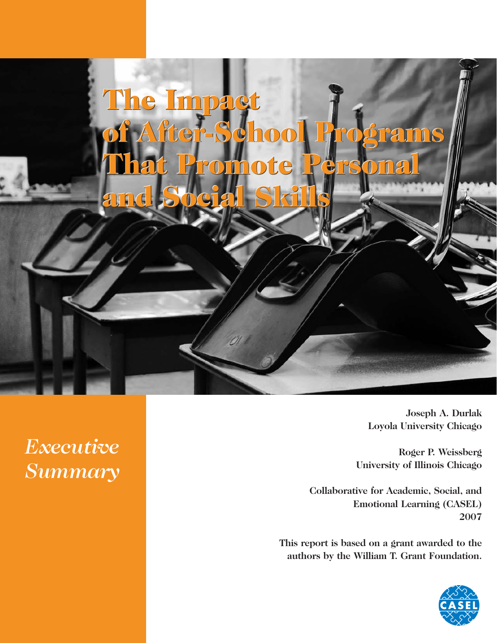

**Joseph A. Durlak Loyola University Chicago**

**Roger P. Weissberg University of Illinois Chicago**

**Collaborative for Academic, Social, and Emotional Learning (CASEL) 2007**

**This report is based on a grant awarded to the authors by the William T. Grant Foundation.**



*Executive Summary*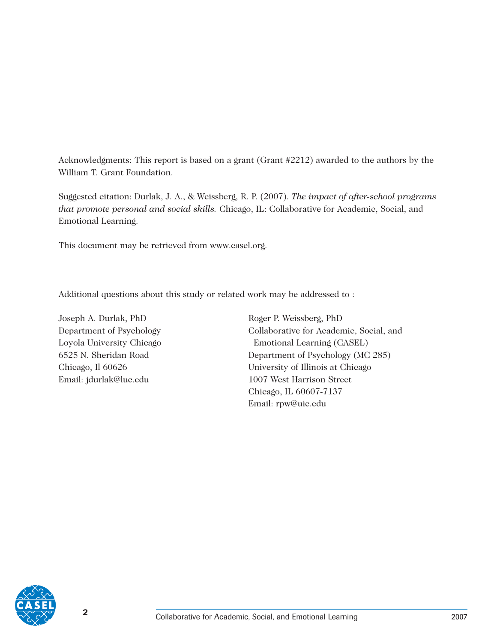Acknowledgments: This report is based on a grant (Grant #2212) awarded to the authors by the William T. Grant Foundation.

Suggested citation: Durlak, J. A., & Weissberg, R. P. (2007). *The impact of after-school programs that promote personal and social skills.* Chicago, IL: Collaborative for Academic, Social, and Emotional Learning.

This document may be retrieved from [www.casel.org.](http://www.casel.org)

Additional questions about this study or related work may be addressed to :

Joseph A. Durlak, PhD Roger P. Weissberg, PhD Email: [jdurlak@luc.edu](mailto:jdurlak@luc.edu) 1007 West Harrison Street

Department of Psychology Collaborative for Academic, Social, and Loyola University Chicago Emotional Learning (CASEL) 6525 N. Sheridan Road Department of Psychology (MC 285) Chicago, Il 60626 University of Illinois at Chicago Chicago, IL 60607-7137 Email: [rpw@uic.edu](mailto:rpw@uic.edu)

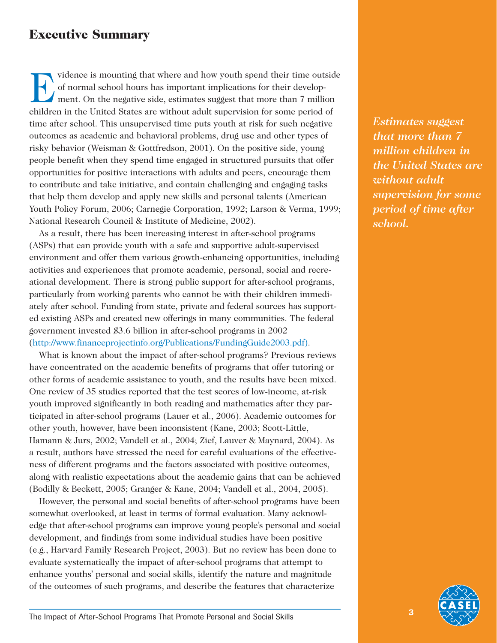# **Executive Summary**

IV vidence is mounting that where and how youth spend their time outside<br>of normal school hours has important implications for their develop-<br>ment. On the negative side, estimates suggest that more than 7 million<br>abildren of normal school hours has important implications for their development. On the negative side, estimates suggest that more than 7 million children in the United States are without adult supervision for some period of time after school. This unsupervised time puts youth at risk for such negative outcomes as academic and behavioral problems, drug use and other types of risky behavior (Weisman & Gottfredson, 2001). On the positive side, young people benefit when they spend time engaged in structured pursuits that offer opportunities for positive interactions with adults and peers, encourage them to contribute and take initiative, and contain challenging and engaging tasks that help them develop and apply new skills and personal talents (American Youth Policy Forum, 2006; Carnegie Corporation, 1992; Larson & Verma, 1999; National Research Council & Institute of Medicine, 2002).

As a result, there has been increasing interest in after-school programs (ASPs) that can provide youth with a safe and supportive adult-supervised environment and offer them various growth-enhancing opportunities, including activities and experiences that promote academic, personal, social and recreational development. There is strong public support for after-school programs, particularly from working parents who cannot be with their children immediately after school. Funding from state, private and federal sources has supported existing ASPs and created new offerings in many communities. The federal government invested \$3.6 billion in after-school programs in 2002 [\(http://www.financeprojectinfo.org/Publications/FundingGuide2003.pdf\).](http://www.financeprojectinfo.org/Publications/FundingGuide2003.pdf)

What is known about the impact of after-school programs? Previous reviews have concentrated on the academic benefits of programs that offer tutoring or other forms of academic assistance to youth, and the results have been mixed. One review of 35 studies reported that the test scores of low-income, at-risk youth improved significantly in both reading and mathematics after they participated in after-school programs (Lauer et al., 2006). Academic outcomes for other youth, however, have been inconsistent (Kane, 2003; Scott-Little, Hamann & Jurs, 2002; Vandell et al., 2004; Zief, Lauver & Maynard, 2004). As a result, authors have stressed the need for careful evaluations of the effectiveness of different programs and the factors associated with positive outcomes, along with realistic expectations about the academic gains that can be achieved (Bodilly & Beckett, 2005; Granger & Kane, 2004; Vandell et al., 2004, 2005).

However, the personal and social benefits of after-school programs have been somewhat overlooked, at least in terms of formal evaluation. Many acknowledge that after-school programs can improve young people's personal and social development, and findings from some individual studies have been positive (e.g., Harvard Family Research Project, 2003). But no review has been done to evaluate systematically the impact of after-school programs that attempt to enhance youths' personal and social skills, identify the nature and magnitude of the outcomes of such programs, and describe the features that characterize

*Estimates suggest that more than 7 million children in the United States are without adult supervision for some period of time after school.*

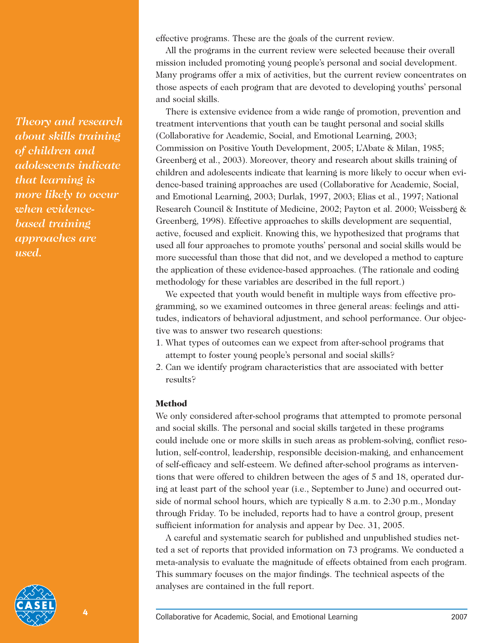*Theory and research about skills training of children and adolescents indicate that learning is more likely to occur when evidencebased training approaches are used.*

effective programs. These are the goals of the current review.

All the programs in the current review were selected because their overall mission included promoting young people's personal and social development. Many programs offer a mix of activities, but the current review concentrates on those aspects of each program that are devoted to developing youths' personal and social skills.

There is extensive evidence from a wide range of promotion, prevention and treatment interventions that youth can be taught personal and social skills (Collaborative for Academic, Social, and Emotional Learning, 2003; Commission on Positive Youth Development, 2005; L'Abate & Milan, 1985; Greenberg et al., 2003). Moreover, theory and research about skills training of children and adolescents indicate that learning is more likely to occur when evidence-based training approaches are used (Collaborative for Academic, Social, and Emotional Learning, 2003; Durlak, 1997, 2003; Elias et al., 1997; National Research Council & Institute of Medicine, 2002; Payton et al. 2000; Weissberg & Greenberg, 1998). Effective approaches to skills development are sequential, active, focused and explicit. Knowing this, we hypothesized that programs that used all four approaches to promote youths' personal and social skills would be more successful than those that did not, and we developed a method to capture the application of these evidence-based approaches. (The rationale and coding methodology for these variables are described in the full report.)

We expected that youth would benefit in multiple ways from effective programming, so we examined outcomes in three general areas: feelings and attitudes, indicators of behavioral adjustment, and school performance. Our objective was to answer two research questions:

- 1. What types of outcomes can we expect from after-school programs that attempt to foster young people's personal and social skills?
- 2. Can we identify program characteristics that are associated with better results?

#### **Method**

We only considered after-school programs that attempted to promote personal and social skills. The personal and social skills targeted in these programs could include one or more skills in such areas as problem-solving, conflict resolution, self-control, leadership, responsible decision-making, and enhancement of self-efficacy and self-esteem. We defined after-school programs as interventions that were offered to children between the ages of 5 and 18, operated during at least part of the school year (i.e., September to June) and occurred outside of normal school hours, which are typically 8 a.m. to 2:30 p.m., Monday through Friday. To be included, reports had to have a control group, present sufficient information for analysis and appear by Dec. 31, 2005.

A careful and systematic search for published and unpublished studies netted a set of reports that provided information on 73 programs. We conducted a meta-analysis to evaluate the magnitude of effects obtained from each program. This summary focuses on the major findings. The technical aspects of the analyses are contained in the full report.

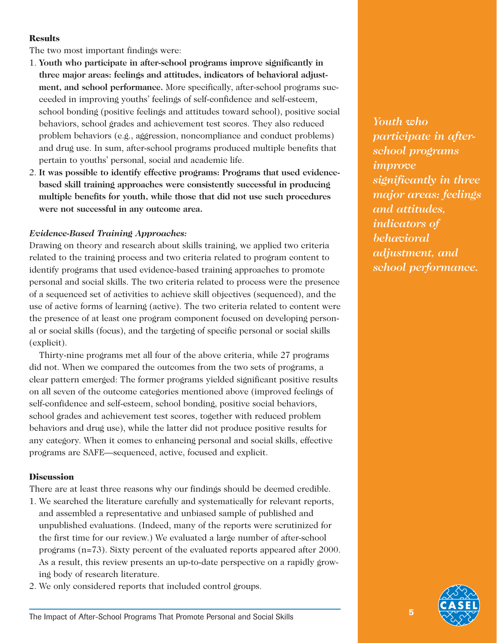### **Results**

The two most important findings were:

- 1. **Youth who participate in after-school programs improve significantly in three major areas: feelings and attitudes, indicators of behavioral adjustment, and school performance.** More specifically, after-school programs succeeded in improving youths' feelings of self-confidence and self-esteem, school bonding (positive feelings and attitudes toward school), positive social behaviors, school grades and achievement test scores. They also reduced problem behaviors (e.g., aggression, noncompliance and conduct problems) and drug use. In sum, after-school programs produced multiple benefits that pertain to youths' personal, social and academic life.
- 2. **It was possible to identify effective programs: Programs that used evidencebased skill training approaches were consistently successful in producing multiple benefits for youth, while those that did not use such procedures were not successful in any outcome area.**

### *Evidence-Based Training Approaches:*

Drawing on theory and research about skills training, we applied two criteria related to the training process and two criteria related to program content to identify programs that used evidence-based training approaches to promote personal and social skills. The two criteria related to process were the presence of a sequenced set of activities to achieve skill objectives (sequenced), and the use of active forms of learning (active). The two criteria related to content were the presence of at least one program component focused on developing personal or social skills (focus), and the targeting of specific personal or social skills (explicit).

Thirty-nine programs met all four of the above criteria, while 27 programs did not. When we compared the outcomes from the two sets of programs, a clear pattern emerged: The former programs yielded significant positive results on all seven of the outcome categories mentioned above (improved feelings of self-confidence and self-esteem, school bonding, positive social behaviors, school grades and achievement test scores, together with reduced problem behaviors and drug use), while the latter did not produce positive results for any category. When it comes to enhancing personal and social skills, effective programs are SAFE—sequenced, active, focused and explicit.

#### **Discussion**

There are at least three reasons why our findings should be deemed credible.

- 1. We searched the literature carefully and systematically for relevant reports, and assembled a representative and unbiased sample of published and unpublished evaluations. (Indeed, many of the reports were scrutinized for the first time for our review.) We evaluated a large number of after-school programs (n=73). Sixty percent of the evaluated reports appeared after 2000. As a result, this review presents an up-to-date perspective on a rapidly growing body of research literature.
- 2. We only considered reports that included control groups.

*Youth who participate in afterschool programs improve significantly in three major areas: feelings and attitudes, indicators of behavioral adjustment, and school performance.*

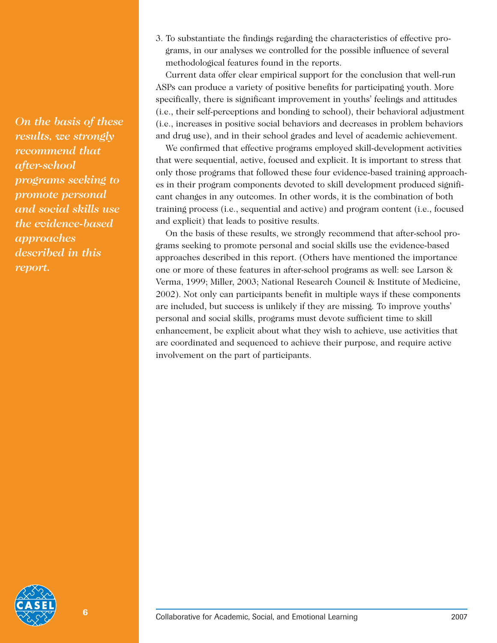*On the basis of these results, we strongly recommend that after-school programs seeking to promote personal and social skills use the evidence-based approaches described in this report.*

3. To substantiate the findings regarding the characteristics of effective programs, in our analyses we controlled for the possible influence of several methodological features found in the reports.

Current data offer clear empirical support for the conclusion that well-run ASPs can produce a variety of positive benefits for participating youth. More specifically, there is significant improvement in youths' feelings and attitudes (i.e., their self-perceptions and bonding to school), their behavioral adjustment (i.e., increases in positive social behaviors and decreases in problem behaviors and drug use), and in their school grades and level of academic achievement.

We confirmed that effective programs employed skill-development activities that were sequential, active, focused and explicit. It is important to stress that only those programs that followed these four evidence-based training approaches in their program components devoted to skill development produced significant changes in any outcomes. In other words, it is the combination of both training process (i.e., sequential and active) and program content (i.e., focused and explicit) that leads to positive results.

On the basis of these results, we strongly recommend that after-school programs seeking to promote personal and social skills use the evidence-based approaches described in this report. (Others have mentioned the importance one or more of these features in after-school programs as well: see Larson & Verma, 1999; Miller, 2003; National Research Council & Institute of Medicine, 2002). Not only can participants benefit in multiple ways if these components are included, but success is unlikely if they are missing. To improve youths' personal and social skills, programs must devote sufficient time to skill enhancement, be explicit about what they wish to achieve, use activities that are coordinated and sequenced to achieve their purpose, and require active involvement on the part of participants.

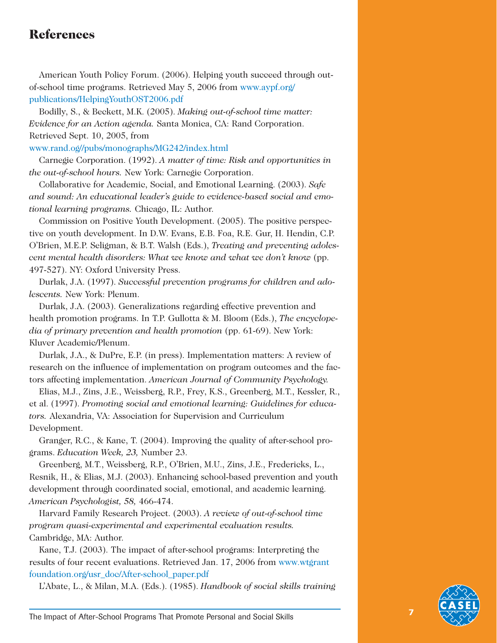## **References**

American Youth Policy Forum. (2006). Helping youth succeed through outof-school time programs. Retrieved May 5, 2006 from [www.aypf.org/](http://www.aypf.org) publications/HelpingYouthOST2006.pdf

Bodilly, S., & Beckett, M.K. (2005). *Making out-of-school time matter: Evidence for an Action agenda.* Santa Monica, CA: Rand Corporation. Retrieved Sept. 10, 2005, from

[www.rand.og//pubs/monographs/MG242/index.html](http://www.rand.og//pubs/monographs/MG242/index.html)

Carnegie Corporation. (1992). *A matter of time: Risk and opportunities in the out-of-school hours.* New York: Carnegie Corporation.

Collaborative for Academic, Social, and Emotional Learning. (2003). *Safe and sound: An educational leader's guide to evidence-based social and emotional learning programs.* Chicago, IL: Author.

Commission on Positive Youth Development. (2005). The positive perspective on youth development. In D.W. Evans, E.B. Foa, R.E. Gur, H. Hendin, C.P. O'Brien, M.E.P. Seligman, & B.T. Walsh (Eds.), *Treating and preventing adolescent mental health disorders: What we know and what we don't know* (pp. 497-527). NY: Oxford University Press.

Durlak, J.A. (1997). *Successful prevention programs for children and adolescents.* New York: Plenum.

Durlak, J.A. (2003). Generalizations regarding effective prevention and health promotion programs. In T.P. Gullotta & M. Bloom (Eds.), *The encyclopedia of primary prevention and health promotion* (pp. 61-69). New York: Kluver Academic/Plenum.

Durlak, J.A., & DuPre, E.P. (in press). Implementation matters: A review of research on the influence of implementation on program outcomes and the factors affecting implementation. *American Journal of Community Psychology.*

Elias, M.J., Zins, J.E., Weissberg, R.P., Frey, K.S., Greenberg, M.T., Kessler, R., et al. (1997). *Promoting social and emotional learning: Guidelines for educators.* Alexandria, VA: Association for Supervision and Curriculum Development.

Granger, R.C., & Kane, T. (2004). Improving the quality of after-school programs. *Education Week, 23,* Number 23.

Greenberg, M.T., Weissberg, R.P., O'Brien, M.U., Zins, J.E., Fredericks, L., Resnik, H., & Elias, M.J. (2003). Enhancing school-based prevention and youth development through coordinated social, emotional, and academic learning. *American Psychologist, 58,* 466-474.

Harvard Family Research Project. (2003). *A review of out-of-school time program quasi-experimental and experimental evaluation results.* Cambridge, MA: Author.

Kane, T.J. (2003). The impact of after-school programs: Interpreting the results of four recent evaluations. Retrieved Jan. 17, 2006 from [www.wtgrant](http://www.wtgrant) foundation.org/usr\_doc/After-school\_paper.pdf

L'Abate, L., & Milan, M.A. (Eds.). (1985). *Handbook of social skills training*